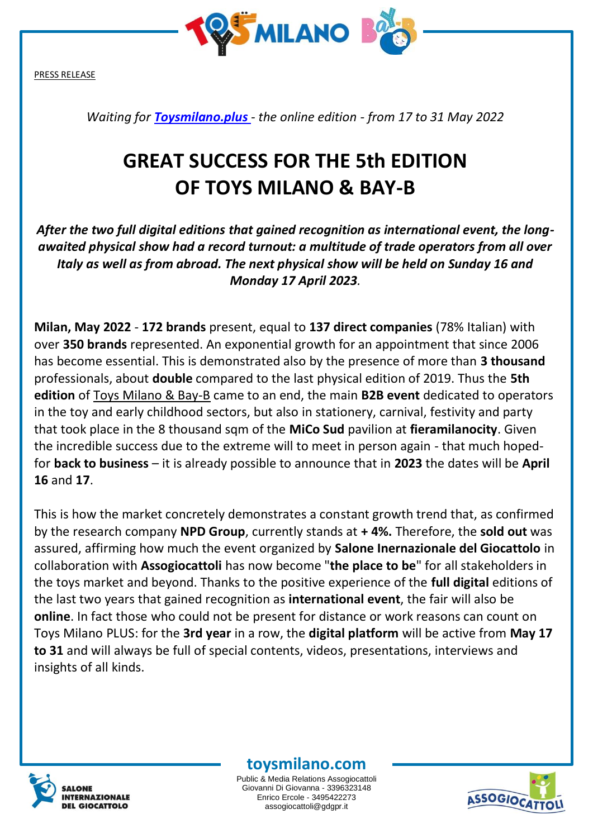

*Waiting for [Toysmilano.plus](https://www.toysmilano.plus/) - the online edition - from 17 to 31 May 2022*

## **GREAT SUCCESS FOR THE 5th EDITION OF TOYS MILANO & BAY-B**

*After the two full digital editions that gained recognition as international event, the longawaited physical show had a record turnout: a multitude of trade operators from all over Italy as well as from abroad. The next physical show will be held on Sunday 16 and Monday 17 April 2023.*

**Milan, May 2022** - **172 brands** present, equal to **137 direct companies** (78% Italian) with over **350 brands** represented. An exponential growth for an appointment that since 2006 has become essential. This is demonstrated also by the presence of more than **3 thousand** professionals, about **double** compared to the last physical edition of 2019. Thus the **5th edition** of Toys Milano & Bay-B came to an end, the main **B2B event** dedicated to operators in the toy and early childhood sectors, but also in stationery, carnival, festivity and party that took place in the 8 thousand sqm of the **MiCo Sud** pavilion at **fieramilanocity**. Given the incredible success due to the extreme will to meet in person again - that much hopedfor **back to business** – it is already possible to announce that in **2023** the dates will be **April 16** and **17**.

This is how the market concretely demonstrates a constant growth trend that, as confirmed by the research company **NPD Group**, currently stands at **+ 4%.** Therefore, the **sold out** was assured, affirming how much the event organized by **Salone Inernazionale del Giocattolo** in collaboration with **Assogiocattoli** has now become "**the place to be**" for all stakeholders in the toys market and beyond. Thanks to the positive experience of the **full digital** editions of the last two years that gained recognition as **international event**, the fair will also be **online**. In fact those who could not be present for distance or work reasons can count on Toys Milano PLUS: for the **3rd year** in a row, the **digital platform** will be active from **May 17 to 31** and will always be full of special contents, videos, presentations, interviews and insights of all kinds.



## **toysmilano.com**

Public & Media Relations Assogiocattoli Giovanni Di Giovanna - 3396323148 Enrico Ercole - 3495422273 assogiocattoli@gdgpr.it